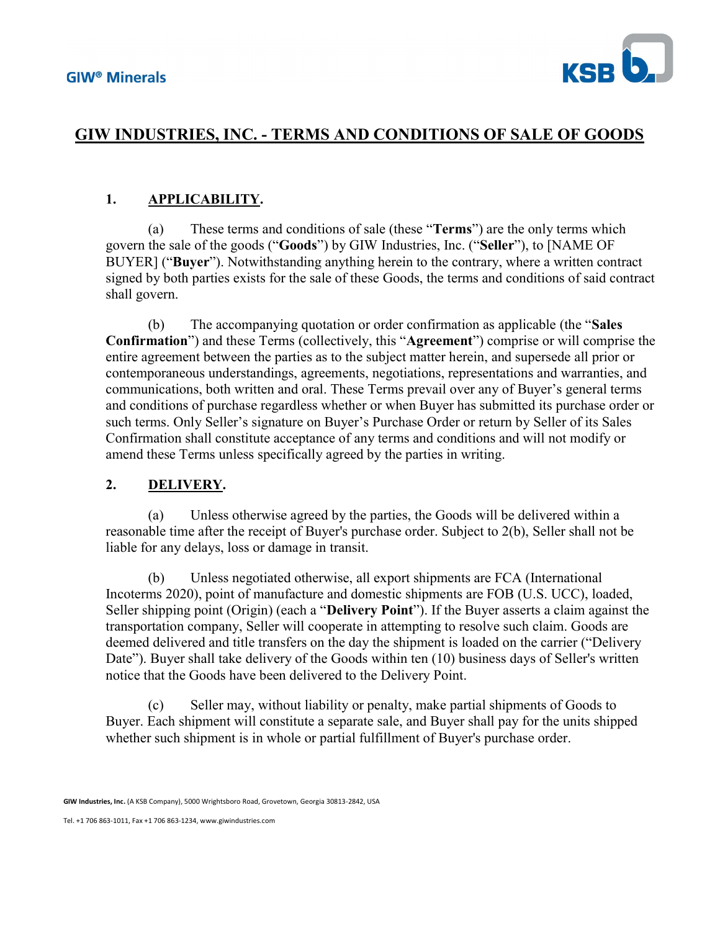

# GIW INDUSTRIES, INC. - TERMS AND CONDITIONS OF SALE OF GOODS

### 1. APPLICABILITY.

(a) These terms and conditions of sale (these "Terms") are the only terms which govern the sale of the goods ("Goods") by GIW Industries, Inc. ("Seller"), to [NAME OF BUYER] ("Buyer"). Notwithstanding anything herein to the contrary, where a written contract signed by both parties exists for the sale of these Goods, the terms and conditions of said contract shall govern.

(b) The accompanying quotation or order confirmation as applicable (the "Sales Confirmation") and these Terms (collectively, this "Agreement") comprise or will comprise the entire agreement between the parties as to the subject matter herein, and supersede all prior or contemporaneous understandings, agreements, negotiations, representations and warranties, and communications, both written and oral. These Terms prevail over any of Buyer's general terms and conditions of purchase regardless whether or when Buyer has submitted its purchase order or such terms. Only Seller's signature on Buyer's Purchase Order or return by Seller of its Sales Confirmation shall constitute acceptance of any terms and conditions and will not modify or amend these Terms unless specifically agreed by the parties in writing.

#### 2. DELIVERY.

(a) Unless otherwise agreed by the parties, the Goods will be delivered within a reasonable time after the receipt of Buyer's purchase order. Subject to 2(b), Seller shall not be liable for any delays, loss or damage in transit.

(b) Unless negotiated otherwise, all export shipments are FCA (International Incoterms 2020), point of manufacture and domestic shipments are FOB (U.S. UCC), loaded, Seller shipping point (Origin) (each a "**Delivery Point**"). If the Buyer asserts a claim against the transportation company, Seller will cooperate in attempting to resolve such claim. Goods are deemed delivered and title transfers on the day the shipment is loaded on the carrier ("Delivery Date"). Buyer shall take delivery of the Goods within ten (10) business days of Seller's written notice that the Goods have been delivered to the Delivery Point.

(c) Seller may, without liability or penalty, make partial shipments of Goods to Buyer. Each shipment will constitute a separate sale, and Buyer shall pay for the units shipped whether such shipment is in whole or partial fulfillment of Buyer's purchase order.

GIW Industries, Inc. (A KSB Company), 5000 Wrightsboro Road, Grovetown, Georgia 30813-2842, USA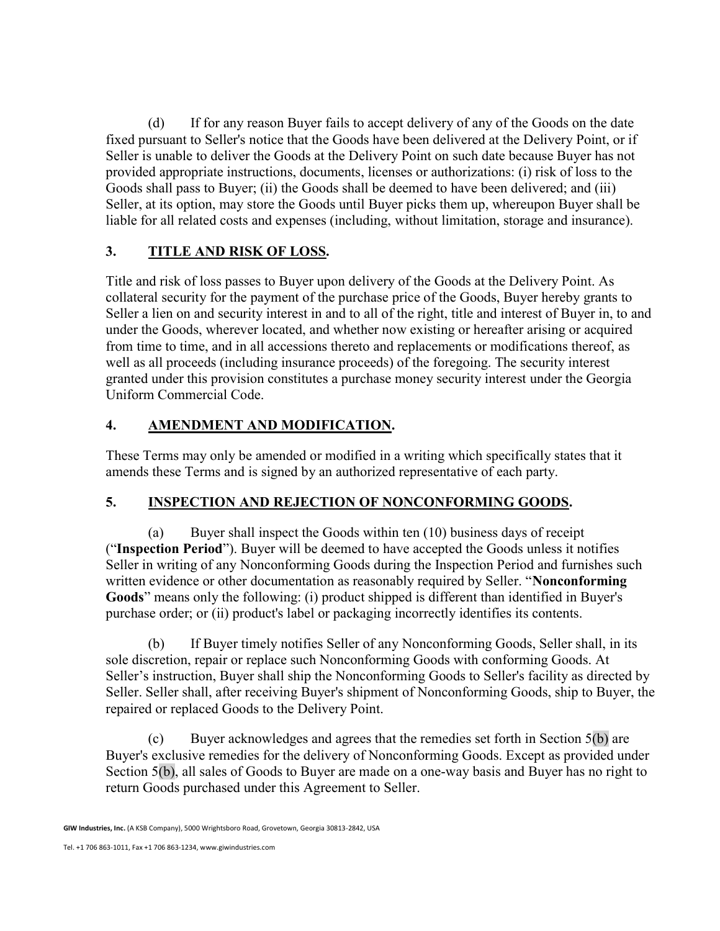(d) If for any reason Buyer fails to accept delivery of any of the Goods on the date fixed pursuant to Seller's notice that the Goods have been delivered at the Delivery Point, or if Seller is unable to deliver the Goods at the Delivery Point on such date because Buyer has not provided appropriate instructions, documents, licenses or authorizations: (i) risk of loss to the Goods shall pass to Buyer; (ii) the Goods shall be deemed to have been delivered; and (iii) Seller, at its option, may store the Goods until Buyer picks them up, whereupon Buyer shall be liable for all related costs and expenses (including, without limitation, storage and insurance).

# 3. TITLE AND RISK OF LOSS.

Title and risk of loss passes to Buyer upon delivery of the Goods at the Delivery Point. As collateral security for the payment of the purchase price of the Goods, Buyer hereby grants to Seller a lien on and security interest in and to all of the right, title and interest of Buyer in, to and under the Goods, wherever located, and whether now existing or hereafter arising or acquired from time to time, and in all accessions thereto and replacements or modifications thereof, as well as all proceeds (including insurance proceeds) of the foregoing. The security interest granted under this provision constitutes a purchase money security interest under the Georgia Uniform Commercial Code.

## 4. AMENDMENT AND MODIFICATION.

These Terms may only be amended or modified in a writing which specifically states that it amends these Terms and is signed by an authorized representative of each party.

### 5. INSPECTION AND REJECTION OF NONCONFORMING GOODS.

(a) Buyer shall inspect the Goods within ten (10) business days of receipt ("Inspection Period"). Buyer will be deemed to have accepted the Goods unless it notifies Seller in writing of any Nonconforming Goods during the Inspection Period and furnishes such written evidence or other documentation as reasonably required by Seller. "Nonconforming Goods" means only the following: (i) product shipped is different than identified in Buyer's purchase order; or (ii) product's label or packaging incorrectly identifies its contents.

(b) If Buyer timely notifies Seller of any Nonconforming Goods, Seller shall, in its sole discretion, repair or replace such Nonconforming Goods with conforming Goods. At Seller's instruction, Buyer shall ship the Nonconforming Goods to Seller's facility as directed by Seller. Seller shall, after receiving Buyer's shipment of Nonconforming Goods, ship to Buyer, the repaired or replaced Goods to the Delivery Point.

(c) Buyer acknowledges and agrees that the remedies set forth in Section 5(b) are Buyer's exclusive remedies for the delivery of Nonconforming Goods. Except as provided under Section 5(b), all sales of Goods to Buyer are made on a one-way basis and Buyer has no right to return Goods purchased under this Agreement to Seller.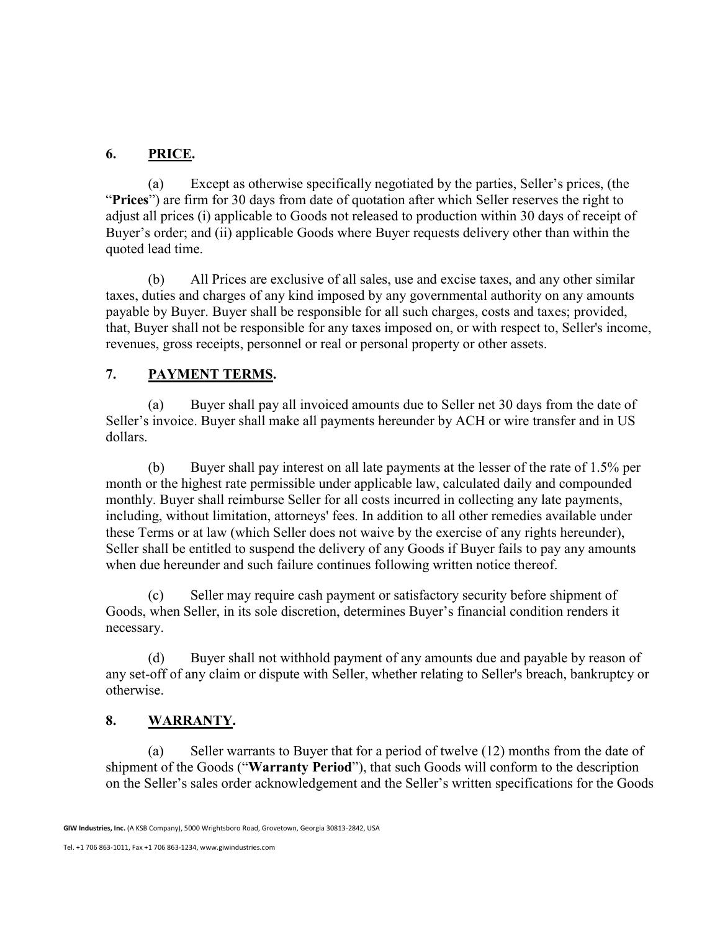## 6. PRICE.

(a) Except as otherwise specifically negotiated by the parties, Seller's prices, (the "Prices") are firm for 30 days from date of quotation after which Seller reserves the right to adjust all prices (i) applicable to Goods not released to production within 30 days of receipt of Buyer's order; and (ii) applicable Goods where Buyer requests delivery other than within the quoted lead time.

(b) All Prices are exclusive of all sales, use and excise taxes, and any other similar taxes, duties and charges of any kind imposed by any governmental authority on any amounts payable by Buyer. Buyer shall be responsible for all such charges, costs and taxes; provided, that, Buyer shall not be responsible for any taxes imposed on, or with respect to, Seller's income, revenues, gross receipts, personnel or real or personal property or other assets.

### 7. PAYMENT TERMS.

(a) Buyer shall pay all invoiced amounts due to Seller net 30 days from the date of Seller's invoice. Buyer shall make all payments hereunder by ACH or wire transfer and in US dollars.

(b) Buyer shall pay interest on all late payments at the lesser of the rate of 1.5% per month or the highest rate permissible under applicable law, calculated daily and compounded monthly. Buyer shall reimburse Seller for all costs incurred in collecting any late payments, including, without limitation, attorneys' fees. In addition to all other remedies available under these Terms or at law (which Seller does not waive by the exercise of any rights hereunder), Seller shall be entitled to suspend the delivery of any Goods if Buyer fails to pay any amounts when due hereunder and such failure continues following written notice thereof.

(c) Seller may require cash payment or satisfactory security before shipment of Goods, when Seller, in its sole discretion, determines Buyer's financial condition renders it necessary.

(d) Buyer shall not withhold payment of any amounts due and payable by reason of any set-off of any claim or dispute with Seller, whether relating to Seller's breach, bankruptcy or otherwise.

### 8. WARRANTY.

(a) Seller warrants to Buyer that for a period of twelve (12) months from the date of shipment of the Goods ("Warranty Period"), that such Goods will conform to the description on the Seller's sales order acknowledgement and the Seller's written specifications for the Goods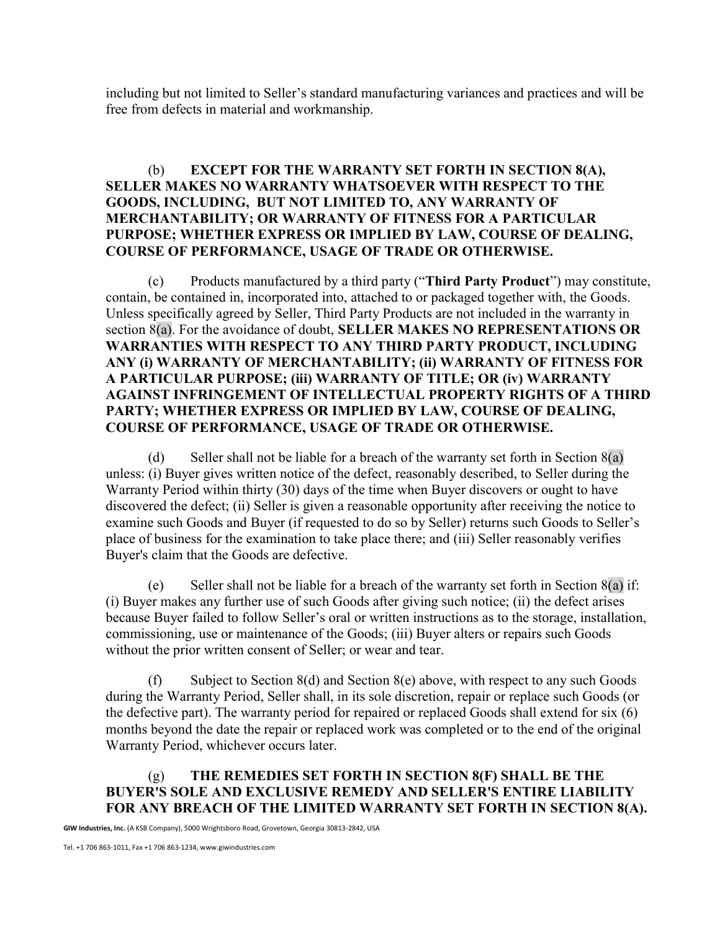including but not limited to Seller's standard manufacturing variances and practices and will be free from defects in material and workmanship.

### (b) EXCEPT FOR THE WARRANTY SET FORTH IN SECTION 8(A), SELLER MAKES NO WARRANTY WHATSOEVER WITH RESPECT TO THE GOODS, INCLUDING, BUT NOT LIMITED TO, ANY WARRANTY OF MERCHANTABILITY; OR WARRANTY OF FITNESS FOR A PARTICULAR PURPOSE; WHETHER EXPRESS OR IMPLIED BY LAW, COURSE OF DEALING, COURSE OF PERFORMANCE, USAGE OF TRADE OR OTHERWISE.

(c) Products manufactured by a third party ("Third Party Product") may constitute, contain, be contained in, incorporated into, attached to or packaged together with, the Goods. Unless specifically agreed by Seller, Third Party Products are not included in the warranty in section  $8(a)$ . For the avoidance of doubt, SELLER MAKES NO REPRESENTATIONS OR WARRANTIES WITH RESPECT TO ANY THIRD PARTY PRODUCT, INCLUDING ANY (i) WARRANTY OF MERCHANTABILITY; (ii) WARRANTY OF FITNESS FOR A PARTICULAR PURPOSE; (iii) WARRANTY OF TITLE; OR (iv) WARRANTY AGAINST INFRINGEMENT OF INTELLECTUAL PROPERTY RIGHTS OF A THIRD PARTY; WHETHER EXPRESS OR IMPLIED BY LAW, COURSE OF DEALING, COURSE OF PERFORMANCE, USAGE OF TRADE OR OTHERWISE.

(d) Seller shall not be liable for a breach of the warranty set forth in Section  $8(a)$ unless: (i) Buyer gives written notice of the defect, reasonably described, to Seller during the Warranty Period within thirty (30) days of the time when Buyer discovers or ought to have discovered the defect; (ii) Seller is given a reasonable opportunity after receiving the notice to examine such Goods and Buyer (if requested to do so by Seller) returns such Goods to Seller's place of business for the examination to take place there; and (iii) Seller reasonably verifies Buyer's claim that the Goods are defective.

(e) Seller shall not be liable for a breach of the warranty set forth in Section  $8(a)$  if: (i) Buyer makes any further use of such Goods after giving such notice; (ii) the defect arises because Buyer failed to follow Seller's oral or written instructions as to the storage, installation, commissioning, use or maintenance of the Goods; (iii) Buyer alters or repairs such Goods without the prior written consent of Seller; or wear and tear.

(f) Subject to Section 8(d) and Section 8(e) above, with respect to any such Goods during the Warranty Period, Seller shall, in its sole discretion, repair or replace such Goods (or the defective part). The warranty period for repaired or replaced Goods shall extend for six (6) months beyond the date the repair or replaced work was completed or to the end of the original Warranty Period, whichever occurs later.

### (g) THE REMEDIES SET FORTH IN SECTION 8(F) SHALL BE THE BUYER'S SOLE AND EXCLUSIVE REMEDY AND SELLER'S ENTIRE LIABILITY FOR ANY BREACH OF THE LIMITED WARRANTY SET FORTH IN SECTION 8(A).

GIW Industries, Inc. (A KSB Company), 5000 Wrightsboro Road, Grovetown, Georgia 30813-2842, USA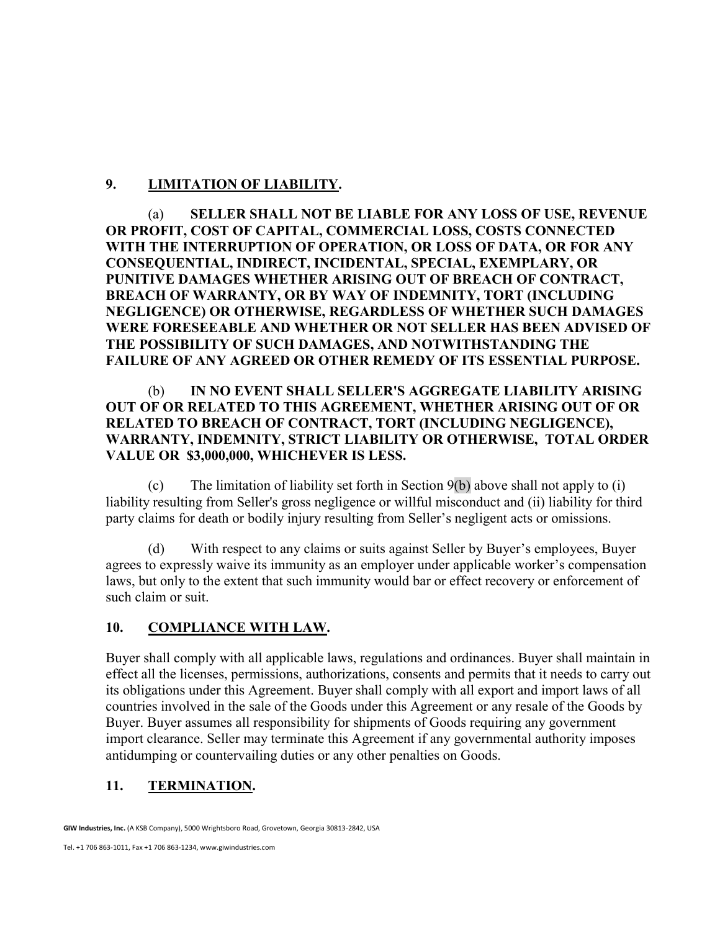## 9. LIMITATION OF LIABILITY.

(a) SELLER SHALL NOT BE LIABLE FOR ANY LOSS OF USE, REVENUE OR PROFIT, COST OF CAPITAL, COMMERCIAL LOSS, COSTS CONNECTED WITH THE INTERRUPTION OF OPERATION, OR LOSS OF DATA, OR FOR ANY CONSEQUENTIAL, INDIRECT, INCIDENTAL, SPECIAL, EXEMPLARY, OR PUNITIVE DAMAGES WHETHER ARISING OUT OF BREACH OF CONTRACT, BREACH OF WARRANTY, OR BY WAY OF INDEMNITY, TORT (INCLUDING NEGLIGENCE) OR OTHERWISE, REGARDLESS OF WHETHER SUCH DAMAGES WERE FORESEEABLE AND WHETHER OR NOT SELLER HAS BEEN ADVISED OF THE POSSIBILITY OF SUCH DAMAGES, AND NOTWITHSTANDING THE FAILURE OF ANY AGREED OR OTHER REMEDY OF ITS ESSENTIAL PURPOSE.

### (b) IN NO EVENT SHALL SELLER'S AGGREGATE LIABILITY ARISING OUT OF OR RELATED TO THIS AGREEMENT, WHETHER ARISING OUT OF OR RELATED TO BREACH OF CONTRACT, TORT (INCLUDING NEGLIGENCE), WARRANTY, INDEMNITY, STRICT LIABILITY OR OTHERWISE, TOTAL ORDER VALUE OR \$3,000,000, WHICHEVER IS LESS.

(c) The limitation of liability set forth in Section 9(b) above shall not apply to (i) liability resulting from Seller's gross negligence or willful misconduct and (ii) liability for third party claims for death or bodily injury resulting from Seller's negligent acts or omissions.

(d) With respect to any claims or suits against Seller by Buyer's employees, Buyer agrees to expressly waive its immunity as an employer under applicable worker's compensation laws, but only to the extent that such immunity would bar or effect recovery or enforcement of such claim or suit.

### 10. COMPLIANCE WITH LAW.

Buyer shall comply with all applicable laws, regulations and ordinances. Buyer shall maintain in effect all the licenses, permissions, authorizations, consents and permits that it needs to carry out its obligations under this Agreement. Buyer shall comply with all export and import laws of all countries involved in the sale of the Goods under this Agreement or any resale of the Goods by Buyer. Buyer assumes all responsibility for shipments of Goods requiring any government import clearance. Seller may terminate this Agreement if any governmental authority imposes antidumping or countervailing duties or any other penalties on Goods.

### 11. TERMINATION.

GIW Industries, Inc. (A KSB Company), 5000 Wrightsboro Road, Grovetown, Georgia 30813-2842, USA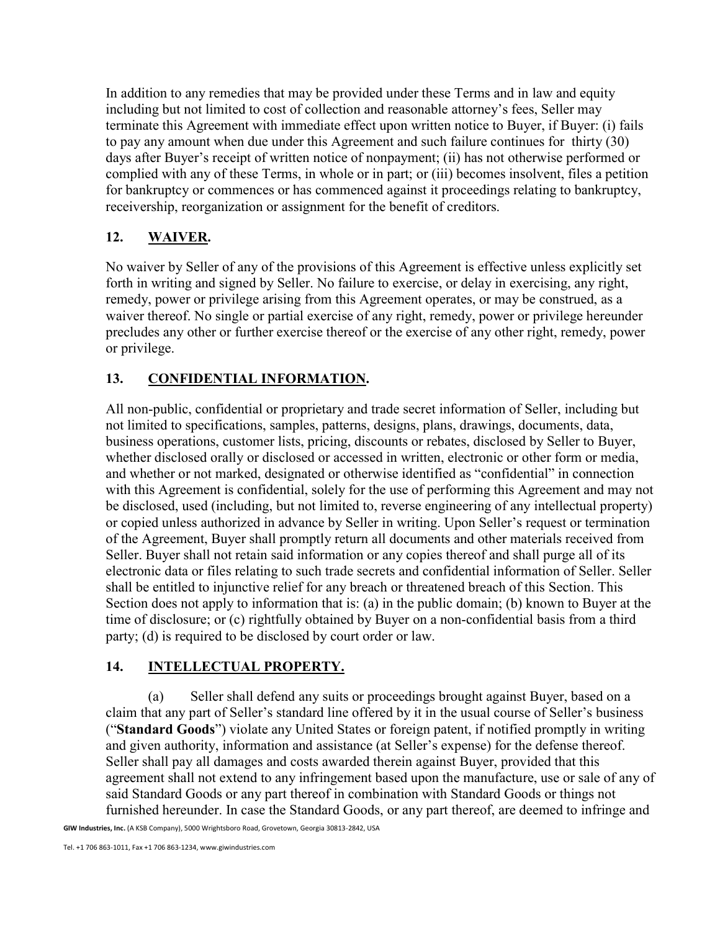In addition to any remedies that may be provided under these Terms and in law and equity including but not limited to cost of collection and reasonable attorney's fees, Seller may terminate this Agreement with immediate effect upon written notice to Buyer, if Buyer: (i) fails to pay any amount when due under this Agreement and such failure continues for thirty (30) days after Buyer's receipt of written notice of nonpayment; (ii) has not otherwise performed or complied with any of these Terms, in whole or in part; or (iii) becomes insolvent, files a petition for bankruptcy or commences or has commenced against it proceedings relating to bankruptcy, receivership, reorganization or assignment for the benefit of creditors.

# 12. WAIVER.

No waiver by Seller of any of the provisions of this Agreement is effective unless explicitly set forth in writing and signed by Seller. No failure to exercise, or delay in exercising, any right, remedy, power or privilege arising from this Agreement operates, or may be construed, as a waiver thereof. No single or partial exercise of any right, remedy, power or privilege hereunder precludes any other or further exercise thereof or the exercise of any other right, remedy, power or privilege.

# 13. CONFIDENTIAL INFORMATION.

All non-public, confidential or proprietary and trade secret information of Seller, including but not limited to specifications, samples, patterns, designs, plans, drawings, documents, data, business operations, customer lists, pricing, discounts or rebates, disclosed by Seller to Buyer, whether disclosed orally or disclosed or accessed in written, electronic or other form or media, and whether or not marked, designated or otherwise identified as "confidential" in connection with this Agreement is confidential, solely for the use of performing this Agreement and may not be disclosed, used (including, but not limited to, reverse engineering of any intellectual property) or copied unless authorized in advance by Seller in writing. Upon Seller's request or termination of the Agreement, Buyer shall promptly return all documents and other materials received from Seller. Buyer shall not retain said information or any copies thereof and shall purge all of its electronic data or files relating to such trade secrets and confidential information of Seller. Seller shall be entitled to injunctive relief for any breach or threatened breach of this Section. This Section does not apply to information that is: (a) in the public domain; (b) known to Buyer at the time of disclosure; or (c) rightfully obtained by Buyer on a non-confidential basis from a third party; (d) is required to be disclosed by court order or law.

# 14. INTELLECTUAL PROPERTY.

(a) Seller shall defend any suits or proceedings brought against Buyer, based on a claim that any part of Seller's standard line offered by it in the usual course of Seller's business ("Standard Goods") violate any United States or foreign patent, if notified promptly in writing and given authority, information and assistance (at Seller's expense) for the defense thereof. Seller shall pay all damages and costs awarded therein against Buyer, provided that this agreement shall not extend to any infringement based upon the manufacture, use or sale of any of said Standard Goods or any part thereof in combination with Standard Goods or things not furnished hereunder. In case the Standard Goods, or any part thereof, are deemed to infringe and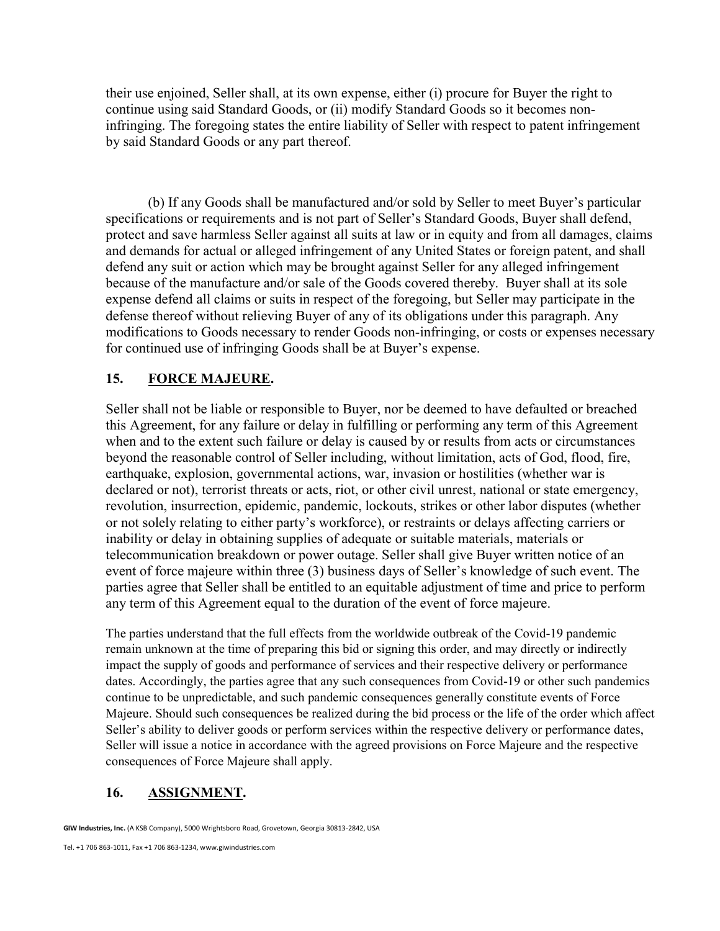their use enjoined, Seller shall, at its own expense, either (i) procure for Buyer the right to continue using said Standard Goods, or (ii) modify Standard Goods so it becomes noninfringing. The foregoing states the entire liability of Seller with respect to patent infringement by said Standard Goods or any part thereof.

(b) If any Goods shall be manufactured and/or sold by Seller to meet Buyer's particular specifications or requirements and is not part of Seller's Standard Goods, Buyer shall defend, protect and save harmless Seller against all suits at law or in equity and from all damages, claims and demands for actual or alleged infringement of any United States or foreign patent, and shall defend any suit or action which may be brought against Seller for any alleged infringement because of the manufacture and/or sale of the Goods covered thereby. Buyer shall at its sole expense defend all claims or suits in respect of the foregoing, but Seller may participate in the defense thereof without relieving Buyer of any of its obligations under this paragraph. Any modifications to Goods necessary to render Goods non-infringing, or costs or expenses necessary for continued use of infringing Goods shall be at Buyer's expense.

### 15. FORCE MAJEURE.

Seller shall not be liable or responsible to Buyer, nor be deemed to have defaulted or breached this Agreement, for any failure or delay in fulfilling or performing any term of this Agreement when and to the extent such failure or delay is caused by or results from acts or circumstances beyond the reasonable control of Seller including, without limitation, acts of God, flood, fire, earthquake, explosion, governmental actions, war, invasion or hostilities (whether war is declared or not), terrorist threats or acts, riot, or other civil unrest, national or state emergency, revolution, insurrection, epidemic, pandemic, lockouts, strikes or other labor disputes (whether or not solely relating to either party's workforce), or restraints or delays affecting carriers or inability or delay in obtaining supplies of adequate or suitable materials, materials or telecommunication breakdown or power outage. Seller shall give Buyer written notice of an event of force majeure within three (3) business days of Seller's knowledge of such event. The parties agree that Seller shall be entitled to an equitable adjustment of time and price to perform any term of this Agreement equal to the duration of the event of force majeure.

The parties understand that the full effects from the worldwide outbreak of the Covid-19 pandemic remain unknown at the time of preparing this bid or signing this order, and may directly or indirectly impact the supply of goods and performance of services and their respective delivery or performance dates. Accordingly, the parties agree that any such consequences from Covid-19 or other such pandemics continue to be unpredictable, and such pandemic consequences generally constitute events of Force Majeure. Should such consequences be realized during the bid process or the life of the order which affect Seller's ability to deliver goods or perform services within the respective delivery or performance dates, Seller will issue a notice in accordance with the agreed provisions on Force Majeure and the respective consequences of Force Majeure shall apply.

# 16. ASSIGNMENT.

GIW Industries, Inc. (A KSB Company), 5000 Wrightsboro Road, Grovetown, Georgia 30813-2842, USA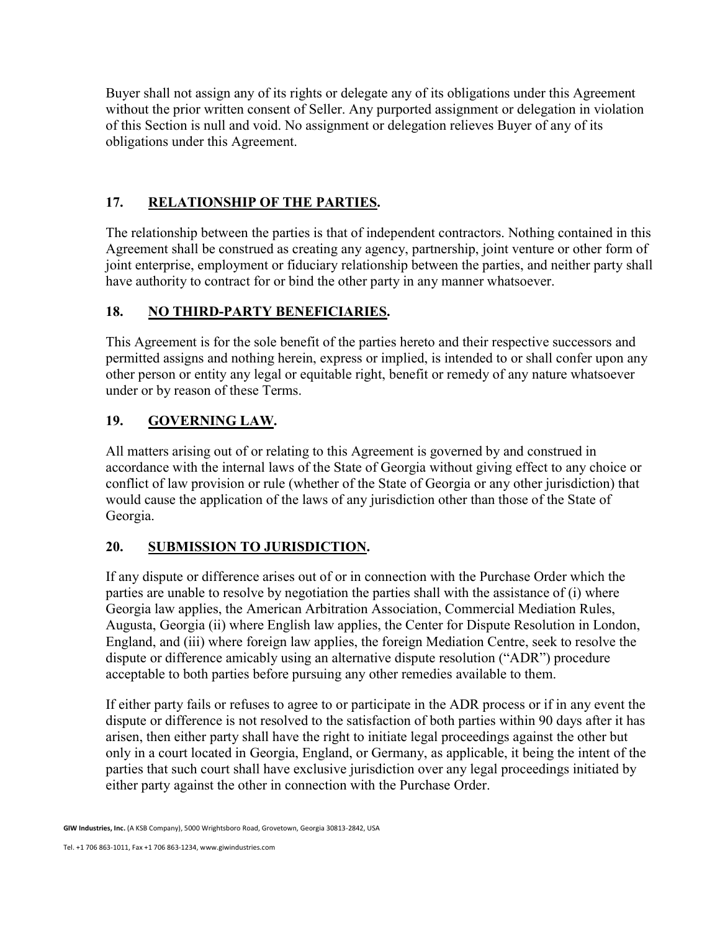Buyer shall not assign any of its rights or delegate any of its obligations under this Agreement without the prior written consent of Seller. Any purported assignment or delegation in violation of this Section is null and void. No assignment or delegation relieves Buyer of any of its obligations under this Agreement.

## 17. RELATIONSHIP OF THE PARTIES.

The relationship between the parties is that of independent contractors. Nothing contained in this Agreement shall be construed as creating any agency, partnership, joint venture or other form of joint enterprise, employment or fiduciary relationship between the parties, and neither party shall have authority to contract for or bind the other party in any manner whatsoever.

### 18. NO THIRD-PARTY BENEFICIARIES.

This Agreement is for the sole benefit of the parties hereto and their respective successors and permitted assigns and nothing herein, express or implied, is intended to or shall confer upon any other person or entity any legal or equitable right, benefit or remedy of any nature whatsoever under or by reason of these Terms.

## 19. GOVERNING LAW.

All matters arising out of or relating to this Agreement is governed by and construed in accordance with the internal laws of the State of Georgia without giving effect to any choice or conflict of law provision or rule (whether of the State of Georgia or any other jurisdiction) that would cause the application of the laws of any jurisdiction other than those of the State of Georgia.

# 20. SUBMISSION TO JURISDICTION.

If any dispute or difference arises out of or in connection with the Purchase Order which the parties are unable to resolve by negotiation the parties shall with the assistance of (i) where Georgia law applies, the American Arbitration Association, Commercial Mediation Rules, Augusta, Georgia (ii) where English law applies, the Center for Dispute Resolution in London, England, and (iii) where foreign law applies, the foreign Mediation Centre, seek to resolve the dispute or difference amicably using an alternative dispute resolution ("ADR") procedure acceptable to both parties before pursuing any other remedies available to them.

If either party fails or refuses to agree to or participate in the ADR process or if in any event the dispute or difference is not resolved to the satisfaction of both parties within 90 days after it has arisen, then either party shall have the right to initiate legal proceedings against the other but only in a court located in Georgia, England, or Germany, as applicable, it being the intent of the parties that such court shall have exclusive jurisdiction over any legal proceedings initiated by either party against the other in connection with the Purchase Order.